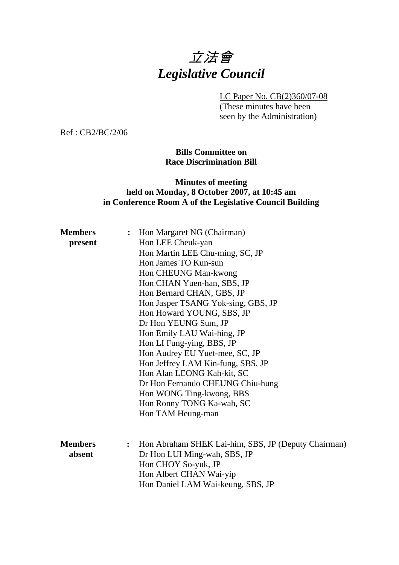# 立法會 *Legislative Council*

LC Paper No. CB(2)360/07-08

(These minutes have been seen by the Administration)

Ref : CB2/BC/2/06

### **Bills Committee on Race Discrimination Bill**

## **Minutes of meeting held on Monday, 8 October 2007, at 10:45 am in Conference Room A of the Legislative Council Building**

| <b>Members</b> | $\ddot{\cdot}$ | Hon Margaret NG (Chairman)                          |
|----------------|----------------|-----------------------------------------------------|
| present        |                | Hon LEE Cheuk-yan                                   |
|                |                | Hon Martin LEE Chu-ming, SC, JP                     |
|                |                | Hon James TO Kun-sun                                |
|                |                | Hon CHEUNG Man-kwong                                |
|                |                | Hon CHAN Yuen-han, SBS, JP                          |
|                |                | Hon Bernard CHAN, GBS, JP                           |
|                |                | Hon Jasper TSANG Yok-sing, GBS, JP                  |
|                |                | Hon Howard YOUNG, SBS, JP                           |
|                |                | Dr Hon YEUNG Sum, JP                                |
|                |                | Hon Emily LAU Wai-hing, JP                          |
|                |                | Hon LI Fung-ying, BBS, JP                           |
|                |                | Hon Audrey EU Yuet-mee, SC, JP                      |
|                |                | Hon Jeffrey LAM Kin-fung, SBS, JP                   |
|                |                | Hon Alan LEONG Kah-kit, SC                          |
|                |                | Dr Hon Fernando CHEUNG Chiu-hung                    |
|                |                | Hon WONG Ting-kwong, BBS                            |
|                |                | Hon Ronny TONG Ka-wah, SC                           |
|                |                | Hon TAM Heung-man                                   |
|                |                |                                                     |
| <b>Members</b> | $\ddot{\cdot}$ | Hon Abraham SHEK Lai-him, SBS, JP (Deputy Chairman) |
| absent         |                | Dr Hon LUI Ming-wah, SBS, JP                        |
|                |                | Hon CHOY So-yuk, JP                                 |
|                |                | Hon Albert CHAN Wai-yip                             |
|                |                | Hon Daniel LAM Wai-keung, SBS, JP                   |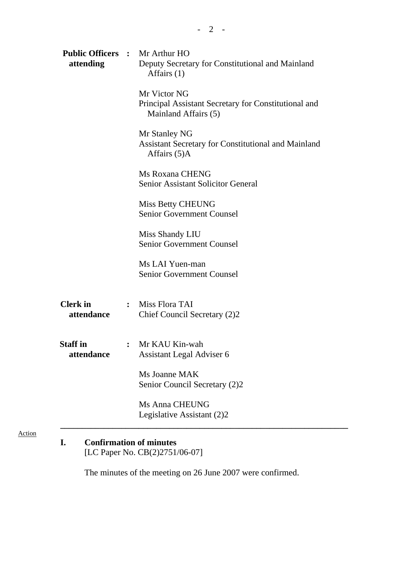| Mr Victor NG<br>Principal Assistant Secretary for Constitutional and<br>Mainland Affairs (5)<br>Mr Stanley NG<br><b>Assistant Secretary for Constitutional and Mainland</b><br>Affairs (5)A<br><b>Ms Roxana CHENG</b><br><b>Senior Assistant Solicitor General</b><br>Miss Betty CHEUNG<br><b>Senior Government Counsel</b> |
|-----------------------------------------------------------------------------------------------------------------------------------------------------------------------------------------------------------------------------------------------------------------------------------------------------------------------------|
|                                                                                                                                                                                                                                                                                                                             |
|                                                                                                                                                                                                                                                                                                                             |
|                                                                                                                                                                                                                                                                                                                             |
|                                                                                                                                                                                                                                                                                                                             |
| Miss Shandy LIU<br><b>Senior Government Counsel</b>                                                                                                                                                                                                                                                                         |
| Ms LAI Yuen-man<br><b>Senior Government Counsel</b>                                                                                                                                                                                                                                                                         |
| : Miss Flora TAI<br>Chief Council Secretary (2)2                                                                                                                                                                                                                                                                            |
| : Mr KAU Kin-wah<br>Assistant Legal Adviser 6                                                                                                                                                                                                                                                                               |
| Ms Joanne MAK<br>Senior Council Secretary (2)2                                                                                                                                                                                                                                                                              |
|                                                                                                                                                                                                                                                                                                                             |
|                                                                                                                                                                                                                                                                                                                             |

# [LC Paper No. CB(2)2751/06-07]

Action

The minutes of the meeting on 26 June 2007 were confirmed.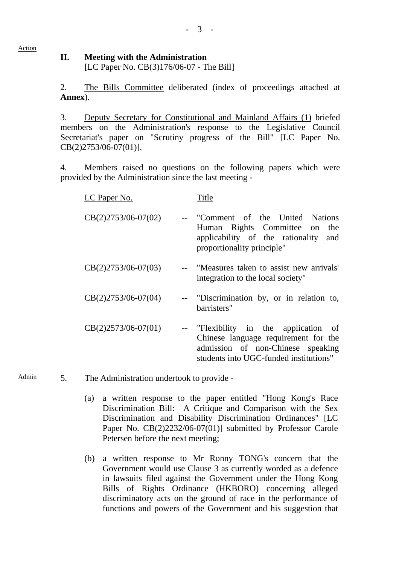#### Action

## **II. Meeting with the Administration**  [LC Paper No. CB(3)176/06-07 - The Bill]

2. The Bills Committee deliberated (index of proceedings attached at **Annex**).

3. Deputy Secretary for Constitutional and Mainland Affairs (1) briefed members on the Administration's response to the Legislative Council Secretariat's paper on "Scrutiny progress of the Bill" [LC Paper No. CB(2)2753/06-07(01)].

4. Members raised no questions on the following papers which were provided by the Administration since the last meeting -

| <u>LC Paper No.</u>   | Title                                                                                                                                                        |
|-----------------------|--------------------------------------------------------------------------------------------------------------------------------------------------------------|
| $CB(2)2753/06-07(02)$ | -- "Comment of the United Nations<br>Human Rights Committee on<br>the<br>applicability of the rationality<br>and<br>proportionality principle"               |
| $CB(2)2753/06-07(03)$ | -- "Measures taken to assist new arrivals"<br>integration to the local society"                                                                              |
| $CB(2)2753/06-07(04)$ | -- "Discrimination by, or in relation to,<br>barristers"                                                                                                     |
| $CB(2)2573/06-07(01)$ | -- "Flexibility in the application of<br>Chinese language requirement for the<br>admission of non-Chinese speaking<br>students into UGC-funded institutions" |

Admin 5. The Administration undertook to provide -

- (a) a written response to the paper entitled "Hong Kong's Race Discrimination Bill: A Critique and Comparison with the Sex Discrimination and Disability Discrimination Ordinances" [LC Paper No. CB(2)2232/06-07(01)] submitted by Professor Carole Petersen before the next meeting;
- (b) a written response to Mr Ronny TONG's concern that the Government would use Clause 3 as currently worded as a defence in lawsuits filed against the Government under the Hong Kong Bills of Rights Ordinance (HKBORO) concerning alleged discriminatory acts on the ground of race in the performance of functions and powers of the Government and his suggestion that

- 3 -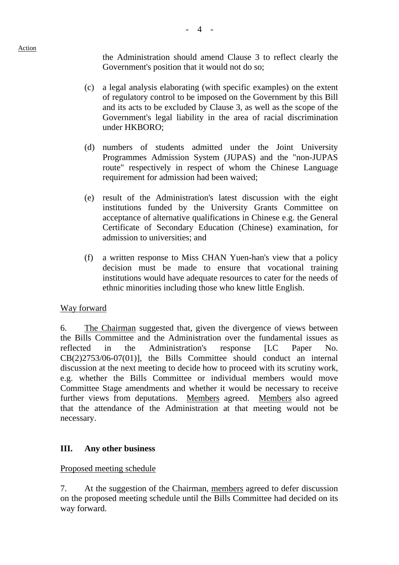the Administration should amend Clause 3 to reflect clearly the Government's position that it would not do so;

- (c) a legal analysis elaborating (with specific examples) on the extent of regulatory control to be imposed on the Government by this Bill and its acts to be excluded by Clause 3, as well as the scope of the Government's legal liability in the area of racial discrimination under HKBORO;
- (d) numbers of students admitted under the Joint University Programmes Admission System (JUPAS) and the "non-JUPAS route" respectively in respect of whom the Chinese Language requirement for admission had been waived;
- (e) result of the Administration's latest discussion with the eight institutions funded by the University Grants Committee on acceptance of alternative qualifications in Chinese e.g. the General Certificate of Secondary Education (Chinese) examination, for admission to universities; and
- (f) a written response to Miss CHAN Yuen-han's view that a policy decision must be made to ensure that vocational training institutions would have adequate resources to cater for the needs of ethnic minorities including those who knew little English.

# Way forward

6. The Chairman suggested that, given the divergence of views between the Bills Committee and the Administration over the fundamental issues as reflected in the Administration's response [LC Paper No. CB(2)2753/06-07(01)], the Bills Committee should conduct an internal discussion at the next meeting to decide how to proceed with its scrutiny work, e.g. whether the Bills Committee or individual members would move Committee Stage amendments and whether it would be necessary to receive further views from deputations. Members agreed. Members also agreed that the attendance of the Administration at that meeting would not be necessary.

# **III. Any other business**

# Proposed meeting schedule

7. At the suggestion of the Chairman, members agreed to defer discussion on the proposed meeting schedule until the Bills Committee had decided on its way forward.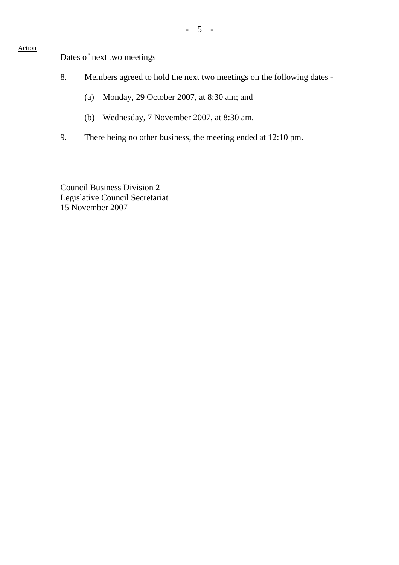## Dates of next two meetings

- 8. Members agreed to hold the next two meetings on the following dates
	- (a) Monday, 29 October 2007, at 8:30 am; and
	- (b) Wednesday, 7 November 2007, at 8:30 am.
- 9. There being no other business, the meeting ended at 12:10 pm.

Council Business Division 2 Legislative Council Secretariat 15 November 2007

#### Action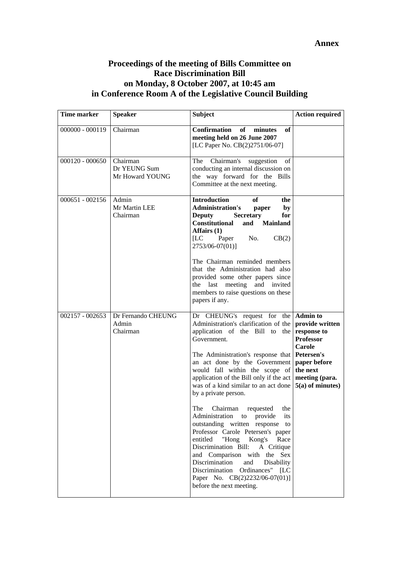#### **Annex**

## **Proceedings of the meeting of Bills Committee on Race Discrimination Bill on Monday, 8 October 2007, at 10:45 am in Conference Room A of the Legislative Council Building**

| Time marker       | <b>Speaker</b>                              | <b>Subject</b>                                                                                                                                                                                                                                                                                                                                                                | <b>Action required</b>                                                                                                                                            |
|-------------------|---------------------------------------------|-------------------------------------------------------------------------------------------------------------------------------------------------------------------------------------------------------------------------------------------------------------------------------------------------------------------------------------------------------------------------------|-------------------------------------------------------------------------------------------------------------------------------------------------------------------|
| $000000 - 000119$ | Chairman                                    | Confirmation<br>minutes<br>of<br>оf<br>meeting held on 26 June 2007<br>[LC Paper No. CB(2)2751/06-07]                                                                                                                                                                                                                                                                         |                                                                                                                                                                   |
| $000120 - 000650$ | Chairman<br>Dr YEUNG Sum<br>Mr Howard YOUNG | Chairman's suggestion<br>The<br>of<br>conducting an internal discussion on<br>the way forward for the Bills<br>Committee at the next meeting.                                                                                                                                                                                                                                 |                                                                                                                                                                   |
| $000651 - 002156$ | Admin<br>Mr Martin LEE<br>Chairman          | <b>Introduction</b><br>of<br>the<br><b>Administration's</b><br>by<br>paper<br><b>Deputy</b><br><b>Secretary</b><br>for<br><b>Constitutional</b><br>and Mainland<br>Affairs (1)<br>[LC]<br>Paper<br>No.<br>CB(2)<br>2753/06-07(01)]<br>The Chairman reminded members<br>that the Administration had also<br>provided some other papers since<br>the last meeting and invited   |                                                                                                                                                                   |
|                   |                                             | members to raise questions on these<br>papers if any.                                                                                                                                                                                                                                                                                                                         |                                                                                                                                                                   |
| $002157 - 002653$ | Dr Fernando CHEUNG<br>Admin<br>Chairman     | Dr CHEUNG's request for the<br>Administration's clarification of the<br>application of the Bill to the<br>Government.<br>The Administration's response that<br>an act done by the Government<br>would fall within the scope of<br>application of the Bill only if the act<br>was of a kind similar to an act done<br>by a private person.                                     | <b>Admin to</b><br>provide written<br>response to<br><b>Professor</b><br>Carole<br>Petersen's<br>paper before<br>the next<br>meeting (para.<br>$5(a)$ of minutes) |
|                   |                                             | The Chairman requested the<br>Administration to provide<br>its<br>outstanding written response to<br>Professor Carole Petersen's paper<br>entitled "Hong Kong's Race<br>Discrimination Bill: A Critique<br>and Comparison with the Sex<br>Discrimination<br>and<br>Disability<br>Discrimination Ordinances" [LC<br>Paper No. CB(2)2232/06-07(01)]<br>before the next meeting. |                                                                                                                                                                   |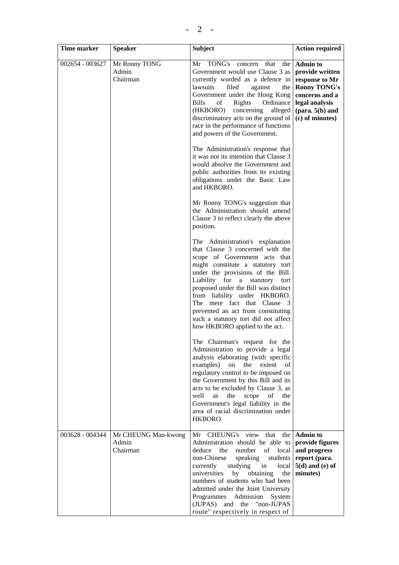| Time marker     | <b>Speaker</b>                           | <b>Subject</b>                                                                                                                                                                                                                                                                                                                                                                                                                              | <b>Action required</b>                                                                                                                                                   |
|-----------------|------------------------------------------|---------------------------------------------------------------------------------------------------------------------------------------------------------------------------------------------------------------------------------------------------------------------------------------------------------------------------------------------------------------------------------------------------------------------------------------------|--------------------------------------------------------------------------------------------------------------------------------------------------------------------------|
| 002654 - 003627 | Mr Ronny TONG<br>Admin<br>Chairman       | Mr TONG's concern that<br>the  <br>Government would use Clause 3 as<br>currently worded as a defence in<br>lawsuits<br>against<br>filed<br>the  <br>Government under the Hong Kong<br><b>Bills</b><br>of<br>Rights<br>Ordinance<br>(HKBORO)<br>concerning<br>alleged<br>discriminatory acts on the ground of<br>race in the performance of functions<br>and powers of the Government.                                                       | <b>Admin to</b><br>provide written<br>response to Mr<br><b>Ronny TONG's</b><br>concerns and a<br>legal analysis<br>$(\text{para. } 5(b) \text{ and})$<br>(c) of minutes) |
|                 |                                          | The Administration's response that<br>it was not its intention that Clause 3<br>would absolve the Government and<br>public authorities from its existing<br>obligations under the Basic Law<br>and HKBORO.                                                                                                                                                                                                                                  |                                                                                                                                                                          |
|                 |                                          | Mr Ronny TONG's suggestion that<br>the Administration should amend<br>Clause 3 to reflect clearly the above<br>position.                                                                                                                                                                                                                                                                                                                    |                                                                                                                                                                          |
|                 |                                          | The Administration's explanation<br>that Clause 3 concerned with the<br>scope of Government acts that<br>might constitute a statutory tort<br>under the provisions of the Bill.<br>Liability for a statutory<br>tort<br>proposed under the Bill was distinct<br>from liability under HKBORO.<br>The mere fact that Clause 3<br>prevented an act from constituting<br>such a statutory tort did not affect<br>how HKBORO applied to the act. |                                                                                                                                                                          |
|                 |                                          | The Chairman's request for the<br>Administration to provide a legal<br>analysis elaborating (with specific<br>examples)<br>the extent<br>on<br>οf<br>regulatory control to be imposed on<br>the Government by this Bill and its<br>acts to be excluded by Clause 3, as<br>well<br>the scope of the<br>as<br>Government's legal liability in the<br>area of racial discrimination under<br>HKBORO.                                           |                                                                                                                                                                          |
| 003628 - 004344 | Mr CHEUNG Man-kwong<br>Admin<br>Chairman | CHEUNG's view that<br>Mr<br>Administration should be able to<br>deduce<br>number<br>of<br>local<br>the<br>non-Chinese<br>speaking<br>students  <br>currently<br>studying<br>in<br>local<br>universities<br>by<br>obtaining<br>the<br>numbers of students who had been<br>admitted under the Joint University<br>Programmes Admission<br>System<br>(JUPAS) and the "non-JUPAS<br>route" respectively in respect of                           | the <b>Admin to</b><br>provide figures<br>and progress<br>report (para.<br>$5(d)$ and (e) of<br>minutes)                                                                 |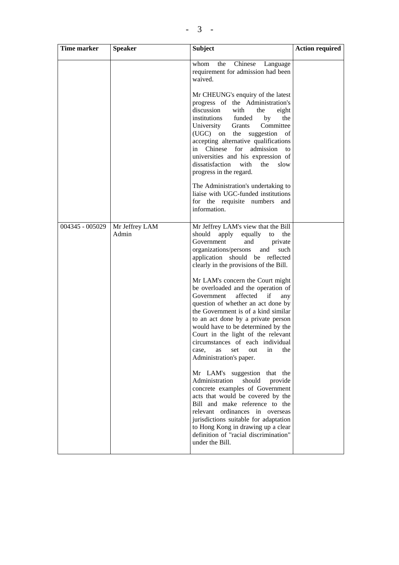| <b>Time marker</b> | <b>Speaker</b>          | <b>Subject</b>                                                                                                                                                                                                                                                                                                                                                                                                                                                                                                                                                                       | <b>Action required</b> |
|--------------------|-------------------------|--------------------------------------------------------------------------------------------------------------------------------------------------------------------------------------------------------------------------------------------------------------------------------------------------------------------------------------------------------------------------------------------------------------------------------------------------------------------------------------------------------------------------------------------------------------------------------------|------------------------|
|                    |                         | Chinese<br>whom<br>the<br>Language<br>requirement for admission had been<br>waived.                                                                                                                                                                                                                                                                                                                                                                                                                                                                                                  |                        |
|                    |                         | Mr CHEUNG's enquiry of the latest<br>progress of the Administration's<br>discussion<br>with<br>the<br>eight<br>institutions<br>funded<br>the<br>by<br>University<br>Grants<br>Committee<br>$(UGC)$ on<br>the<br>suggestion of<br>accepting alternative qualifications<br>in Chinese<br>for<br>admission<br>to<br>universities and his expression of<br>dissatisfaction<br>with<br>the<br>slow<br>progress in the regard.                                                                                                                                                             |                        |
|                    |                         | The Administration's undertaking to<br>liaise with UGC-funded institutions<br>for the requisite numbers<br>and<br>information.                                                                                                                                                                                                                                                                                                                                                                                                                                                       |                        |
| 004345 - 005029    | Mr Jeffrey LAM<br>Admin | Mr Jeffrey LAM's view that the Bill<br>should<br>apply<br>equally<br>to<br>the<br>Government<br>and<br>private<br>organizations/persons<br>such<br>and<br>application should be reflected<br>clearly in the provisions of the Bill.<br>Mr LAM's concern the Court might<br>be overloaded and the operation of<br>Government<br>affected if<br>any<br>question of whether an act done by<br>the Government is of a kind similar<br>to an act done by a private person<br>would have to be determined by the<br>Court in the light of the relevant<br>circumstances of each individual |                        |
|                    |                         | out<br>in<br>the<br>case,<br>as<br>set<br>Administration's paper.<br>Mr LAM's suggestion that the<br>Administration<br>should<br>provide<br>concrete examples of Government<br>acts that would be covered by the<br>Bill and make reference to the<br>relevant ordinances in overseas<br>jurisdictions suitable for adaptation<br>to Hong Kong in drawing up a clear<br>definition of "racial discrimination"<br>under the Bill.                                                                                                                                                     |                        |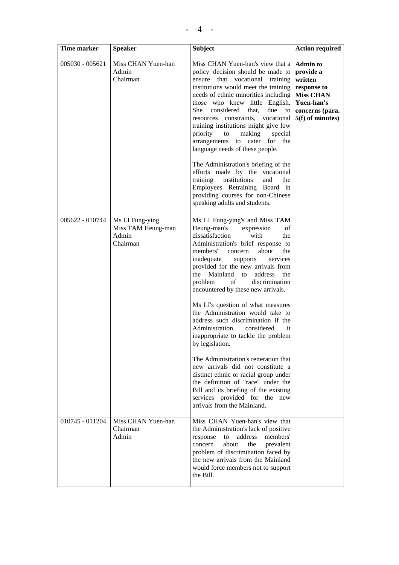| Time marker     | <b>Speaker</b>                                 | <b>Subject</b>                                                                                                                                                                                                                                                                                                                                                                                                                                                                                                                                                                                                                                                         | <b>Action required</b>                                                                                                            |
|-----------------|------------------------------------------------|------------------------------------------------------------------------------------------------------------------------------------------------------------------------------------------------------------------------------------------------------------------------------------------------------------------------------------------------------------------------------------------------------------------------------------------------------------------------------------------------------------------------------------------------------------------------------------------------------------------------------------------------------------------------|-----------------------------------------------------------------------------------------------------------------------------------|
| 005030 - 005621 | Miss CHAN Yuen-han<br>Admin<br>Chairman        | Miss CHAN Yuen-han's view that a<br>policy decision should be made to<br>ensure that vocational training<br>institutions would meet the training<br>needs of ethnic minorities including<br>those who knew little English.<br>She<br>considered<br>due<br>that,<br>$\overline{a}$<br>resources constraints, vocational<br>training institutions might give low<br>priority<br>making<br>to<br>special<br>to cater for the<br>arrangements<br>language needs of these people.<br>The Administration's briefing of the<br>efforts made by the vocational<br>training<br>institutions<br>and<br>the<br>Employees Retraining Board in<br>providing courses for non-Chinese | <b>Admin to</b><br>provide a<br>written<br>response to<br><b>Miss CHAN</b><br>Yuen-han's<br>concerns (para.<br>$5(f)$ of minutes) |
| 005622 - 010744 | Ms LI Fung-ying<br>Miss TAM Heung-man<br>Admin | speaking adults and students.<br>Ms LI Fung-ying's and Miss TAM<br>Heung-man's<br>of<br>expression<br>dissatisfaction<br>with<br>the                                                                                                                                                                                                                                                                                                                                                                                                                                                                                                                                   |                                                                                                                                   |
|                 | Chairman                                       | Administration's brief response to<br>members'<br>about<br>the<br>concern<br>inadequate<br>supports<br>services<br>provided for the new arrivals from<br>the<br>Mainland<br>address<br>to<br>the<br>of<br>problem<br>discrimination<br>encountered by these new arrivals.                                                                                                                                                                                                                                                                                                                                                                                              |                                                                                                                                   |
|                 |                                                | Ms LI's question of what measures<br>the Administration would take to<br>address such discrimination if the<br>Administration<br>considered<br>it<br>inappropriate to tackle the problem<br>by legislation.                                                                                                                                                                                                                                                                                                                                                                                                                                                            |                                                                                                                                   |
|                 |                                                | The Administration's reiteration that<br>new arrivals did not constitute a<br>distinct ethnic or racial group under<br>the definition of "race" under the<br>Bill and its briefing of the existing<br>services provided for the<br>new<br>arrivals from the Mainland.                                                                                                                                                                                                                                                                                                                                                                                                  |                                                                                                                                   |
| 010745 - 011204 | Miss CHAN Yuen-han<br>Chairman<br>Admin        | Miss CHAN Yuen-han's view that<br>the Administration's lack of positive<br>address<br>members'<br>response<br>to<br>the<br>concern<br>about<br>prevalent<br>problem of discrimination faced by<br>the new arrivals from the Mainland<br>would force members not to support<br>the Bill.                                                                                                                                                                                                                                                                                                                                                                                |                                                                                                                                   |